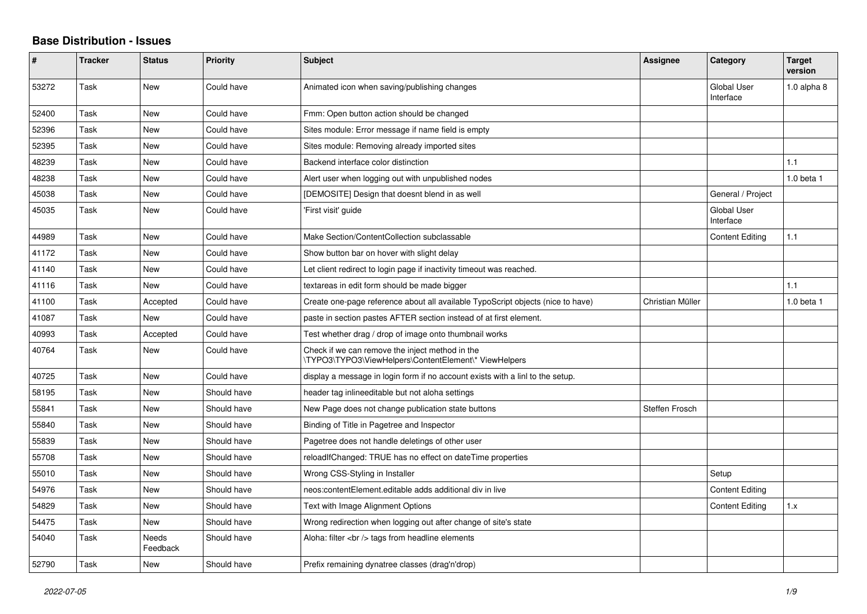## **Base Distribution - Issues**

| ∦     | <b>Tracker</b> | <b>Status</b>            | <b>Priority</b> | <b>Subject</b>                                                                                           | Assignee         | Category                        | <b>Target</b><br>version |
|-------|----------------|--------------------------|-----------------|----------------------------------------------------------------------------------------------------------|------------------|---------------------------------|--------------------------|
| 53272 | Task           | <b>New</b>               | Could have      | Animated icon when saving/publishing changes                                                             |                  | <b>Global User</b><br>Interface | $1.0$ alpha $8$          |
| 52400 | Task           | <b>New</b>               | Could have      | Fmm: Open button action should be changed                                                                |                  |                                 |                          |
| 52396 | Task           | <b>New</b>               | Could have      | Sites module: Error message if name field is empty                                                       |                  |                                 |                          |
| 52395 | Task           | <b>New</b>               | Could have      | Sites module: Removing already imported sites                                                            |                  |                                 |                          |
| 48239 | Task           | <b>New</b>               | Could have      | Backend interface color distinction                                                                      |                  |                                 | 1.1                      |
| 48238 | Task           | New                      | Could have      | Alert user when logging out with unpublished nodes                                                       |                  |                                 | 1.0 beta 1               |
| 45038 | Task           | New                      | Could have      | [DEMOSITE] Design that doesnt blend in as well                                                           |                  | General / Project               |                          |
| 45035 | Task           | New                      | Could have      | 'First visit' guide                                                                                      |                  | <b>Global User</b><br>Interface |                          |
| 44989 | Task           | <b>New</b>               | Could have      | Make Section/ContentCollection subclassable                                                              |                  | <b>Content Editing</b>          | 1.1                      |
| 41172 | Task           | <b>New</b>               | Could have      | Show button bar on hover with slight delay                                                               |                  |                                 |                          |
| 41140 | Task           | <b>New</b>               | Could have      | Let client redirect to login page if inactivity timeout was reached.                                     |                  |                                 |                          |
| 41116 | Task           | New                      | Could have      | textareas in edit form should be made bigger                                                             |                  |                                 | 1.1                      |
| 41100 | Task           | Accepted                 | Could have      | Create one-page reference about all available TypoScript objects (nice to have)                          | Christian Müller |                                 | 1.0 beta 1               |
| 41087 | Task           | <b>New</b>               | Could have      | paste in section pastes AFTER section instead of at first element.                                       |                  |                                 |                          |
| 40993 | Task           | Accepted                 | Could have      | Test whether drag / drop of image onto thumbnail works                                                   |                  |                                 |                          |
| 40764 | Task           | <b>New</b>               | Could have      | Check if we can remove the inject method in the<br>\TYPO3\TYPO3\ViewHelpers\ContentElement\* ViewHelpers |                  |                                 |                          |
| 40725 | Task           | <b>New</b>               | Could have      | display a message in login form if no account exists with a linl to the setup.                           |                  |                                 |                          |
| 58195 | Task           | <b>New</b>               | Should have     | header tag inlineeditable but not aloha settings                                                         |                  |                                 |                          |
| 55841 | Task           | <b>New</b>               | Should have     | New Page does not change publication state buttons                                                       | Steffen Frosch   |                                 |                          |
| 55840 | Task           | New                      | Should have     | Binding of Title in Pagetree and Inspector                                                               |                  |                                 |                          |
| 55839 | Task           | <b>New</b>               | Should have     | Pagetree does not handle deletings of other user                                                         |                  |                                 |                          |
| 55708 | Task           | <b>New</b>               | Should have     | reloadIfChanged: TRUE has no effect on dateTime properties                                               |                  |                                 |                          |
| 55010 | Task           | <b>New</b>               | Should have     | Wrong CSS-Styling in Installer                                                                           |                  | Setup                           |                          |
| 54976 | Task           | <b>New</b>               | Should have     | neos:contentElement.editable adds additional div in live                                                 |                  | <b>Content Editing</b>          |                          |
| 54829 | Task           | <b>New</b>               | Should have     | Text with Image Alignment Options                                                                        |                  | <b>Content Editing</b>          | 1.x                      |
| 54475 | Task           | New                      | Should have     | Wrong redirection when logging out after change of site's state                                          |                  |                                 |                          |
| 54040 | Task           | <b>Needs</b><br>Feedback | Should have     | Aloha: filter<br>tags from headline elements                                                             |                  |                                 |                          |
| 52790 | Task           | New                      | Should have     | Prefix remaining dynatree classes (drag'n'drop)                                                          |                  |                                 |                          |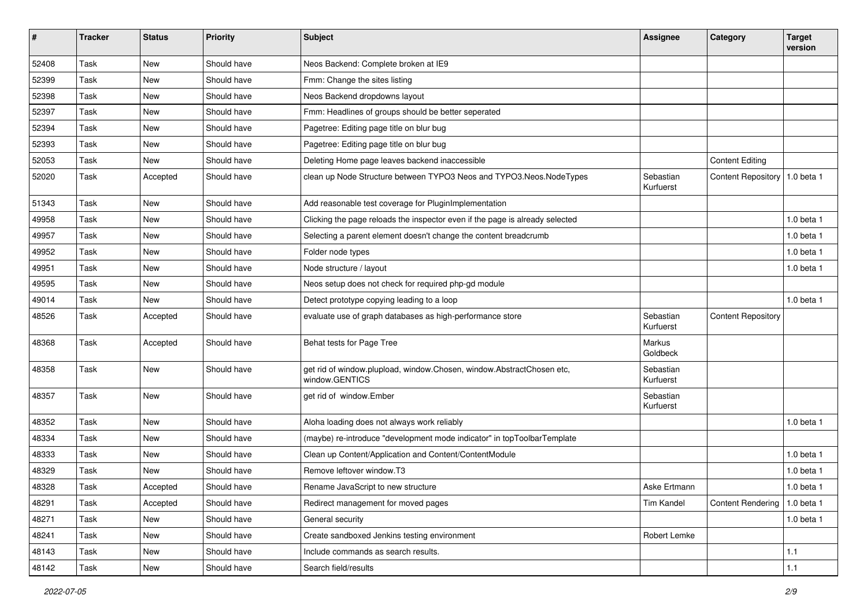| #     | <b>Tracker</b> | <b>Status</b> | <b>Priority</b> | <b>Subject</b>                                                                          | <b>Assignee</b>        | Category                  | <b>Target</b><br>version |
|-------|----------------|---------------|-----------------|-----------------------------------------------------------------------------------------|------------------------|---------------------------|--------------------------|
| 52408 | Task           | <b>New</b>    | Should have     | Neos Backend: Complete broken at IE9                                                    |                        |                           |                          |
| 52399 | Task           | New           | Should have     | Fmm: Change the sites listing                                                           |                        |                           |                          |
| 52398 | Task           | New           | Should have     | Neos Backend dropdowns layout                                                           |                        |                           |                          |
| 52397 | Task           | New           | Should have     | Fmm: Headlines of groups should be better seperated                                     |                        |                           |                          |
| 52394 | Task           | New           | Should have     | Pagetree: Editing page title on blur bug                                                |                        |                           |                          |
| 52393 | Task           | <b>New</b>    | Should have     | Pagetree: Editing page title on blur bug                                                |                        |                           |                          |
| 52053 | Task           | New           | Should have     | Deleting Home page leaves backend inaccessible                                          |                        | <b>Content Editing</b>    |                          |
| 52020 | Task           | Accepted      | Should have     | clean up Node Structure between TYPO3 Neos and TYPO3.Neos.NodeTypes                     | Sebastian<br>Kurfuerst | <b>Content Repository</b> | 1.0 beta 1               |
| 51343 | Task           | <b>New</b>    | Should have     | Add reasonable test coverage for PluginImplementation                                   |                        |                           |                          |
| 49958 | Task           | New           | Should have     | Clicking the page reloads the inspector even if the page is already selected            |                        |                           | 1.0 beta 1               |
| 49957 | Task           | New           | Should have     | Selecting a parent element doesn't change the content breadcrumb                        |                        |                           | 1.0 beta 1               |
| 49952 | Task           | <b>New</b>    | Should have     | Folder node types                                                                       |                        |                           | 1.0 beta 1               |
| 49951 | Task           | <b>New</b>    | Should have     | Node structure / layout                                                                 |                        |                           | 1.0 beta 1               |
| 49595 | Task           | New           | Should have     | Neos setup does not check for required php-gd module                                    |                        |                           |                          |
| 49014 | Task           | New           | Should have     | Detect prototype copying leading to a loop                                              |                        |                           | 1.0 beta 1               |
| 48526 | Task           | Accepted      | Should have     | evaluate use of graph databases as high-performance store                               | Sebastian<br>Kurfuerst | <b>Content Repository</b> |                          |
| 48368 | Task           | Accepted      | Should have     | Behat tests for Page Tree                                                               | Markus<br>Goldbeck     |                           |                          |
| 48358 | Task           | New           | Should have     | get rid of window.plupload, window.Chosen, window.AbstractChosen etc,<br>window.GENTICS | Sebastian<br>Kurfuerst |                           |                          |
| 48357 | Task           | New           | Should have     | get rid of window.Ember                                                                 | Sebastian<br>Kurfuerst |                           |                          |
| 48352 | Task           | <b>New</b>    | Should have     | Aloha loading does not always work reliably                                             |                        |                           | 1.0 beta 1               |
| 48334 | Task           | New           | Should have     | (maybe) re-introduce "development mode indicator" in topToolbarTemplate                 |                        |                           |                          |
| 48333 | Task           | New           | Should have     | Clean up Content/Application and Content/ContentModule                                  |                        |                           | 1.0 beta 1               |
| 48329 | Task           | New           | Should have     | Remove leftover window.T3                                                               |                        |                           | 1.0 beta 1               |
| 48328 | Task           | Accepted      | Should have     | Rename JavaScript to new structure                                                      | Aske Ertmann           |                           | 1.0 beta 1               |
| 48291 | Task           | Accepted      | Should have     | Redirect management for moved pages                                                     | Tim Kandel             | <b>Content Rendering</b>  | 1.0 beta 1               |
| 48271 | Task           | New           | Should have     | General security                                                                        |                        |                           | 1.0 beta 1               |
| 48241 | Task           | New           | Should have     | Create sandboxed Jenkins testing environment                                            | Robert Lemke           |                           |                          |
| 48143 | Task           | New           | Should have     | Include commands as search results.                                                     |                        |                           | 1.1                      |
| 48142 | Task           | New           | Should have     | Search field/results                                                                    |                        |                           | $1.1$                    |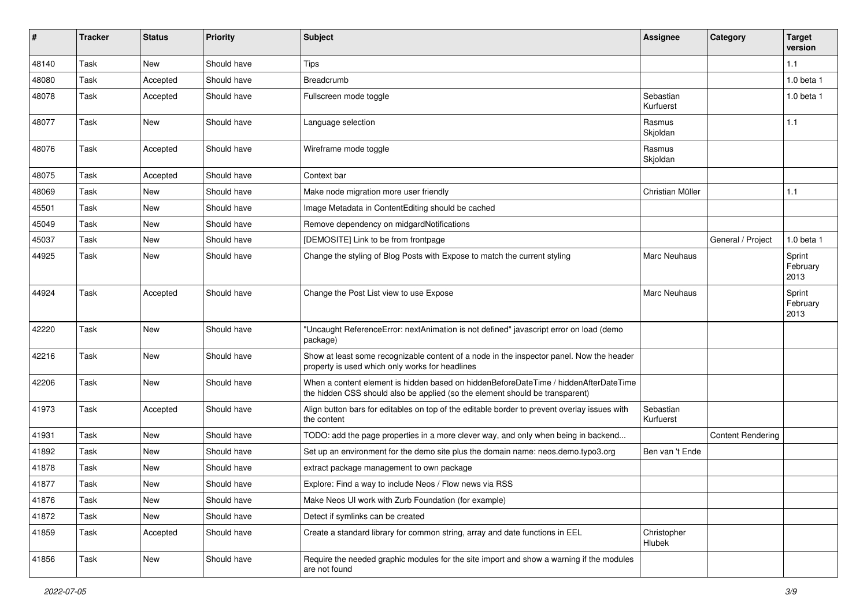| #     | <b>Tracker</b> | <b>Status</b> | <b>Priority</b> | <b>Subject</b>                                                                                                                                                       | <b>Assignee</b>        | Category                 | <b>Target</b><br>version   |
|-------|----------------|---------------|-----------------|----------------------------------------------------------------------------------------------------------------------------------------------------------------------|------------------------|--------------------------|----------------------------|
| 48140 | Task           | <b>New</b>    | Should have     | <b>Tips</b>                                                                                                                                                          |                        |                          | 1.1                        |
| 48080 | Task           | Accepted      | Should have     | Breadcrumb                                                                                                                                                           |                        |                          | 1.0 beta 1                 |
| 48078 | Task           | Accepted      | Should have     | Fullscreen mode toggle                                                                                                                                               | Sebastian<br>Kurfuerst |                          | 1.0 beta 1                 |
| 48077 | Task           | <b>New</b>    | Should have     | Language selection                                                                                                                                                   | Rasmus<br>Skjoldan     |                          | 1.1                        |
| 48076 | Task           | Accepted      | Should have     | Wireframe mode toggle                                                                                                                                                | Rasmus<br>Skjoldan     |                          |                            |
| 48075 | Task           | Accepted      | Should have     | Context bar                                                                                                                                                          |                        |                          |                            |
| 48069 | Task           | New           | Should have     | Make node migration more user friendly                                                                                                                               | Christian Müller       |                          | 1.1                        |
| 45501 | Task           | <b>New</b>    | Should have     | Image Metadata in ContentEditing should be cached                                                                                                                    |                        |                          |                            |
| 45049 | <b>Task</b>    | <b>New</b>    | Should have     | Remove dependency on midgardNotifications                                                                                                                            |                        |                          |                            |
| 45037 | Task           | <b>New</b>    | Should have     | [DEMOSITE] Link to be from frontpage                                                                                                                                 |                        | General / Project        | 1.0 beta 1                 |
| 44925 | Task           | <b>New</b>    | Should have     | Change the styling of Blog Posts with Expose to match the current styling                                                                                            | Marc Neuhaus           |                          | Sprint<br>February<br>2013 |
| 44924 | Task           | Accepted      | Should have     | Change the Post List view to use Expose                                                                                                                              | <b>Marc Neuhaus</b>    |                          | Sprint<br>February<br>2013 |
| 42220 | Task           | <b>New</b>    | Should have     | "Uncaught ReferenceError: nextAnimation is not defined" javascript error on load (demo<br>package)                                                                   |                        |                          |                            |
| 42216 | <b>Task</b>    | <b>New</b>    | Should have     | Show at least some recognizable content of a node in the inspector panel. Now the header<br>property is used which only works for headlines                          |                        |                          |                            |
| 42206 | Task           | <b>New</b>    | Should have     | When a content element is hidden based on hiddenBeforeDateTime / hiddenAfterDateTime<br>the hidden CSS should also be applied (so the element should be transparent) |                        |                          |                            |
| 41973 | Task           | Accepted      | Should have     | Align button bars for editables on top of the editable border to prevent overlay issues with<br>the content                                                          | Sebastian<br>Kurfuerst |                          |                            |
| 41931 | <b>Task</b>    | <b>New</b>    | Should have     | TODO: add the page properties in a more clever way, and only when being in backend                                                                                   |                        | <b>Content Rendering</b> |                            |
| 41892 | Task           | New           | Should have     | Set up an environment for the demo site plus the domain name: neos.demo.typo3.org                                                                                    | Ben van 't Ende        |                          |                            |
| 41878 | Task           | <b>New</b>    | Should have     | extract package management to own package                                                                                                                            |                        |                          |                            |
| 41877 | Task           | New           | Should have     | Explore: Find a way to include Neos / Flow news via RSS                                                                                                              |                        |                          |                            |
| 41876 | Task           | New           | Should have     | Make Neos UI work with Zurb Foundation (for example)                                                                                                                 |                        |                          |                            |
| 41872 | Task           | New           | Should have     | Detect if symlinks can be created                                                                                                                                    |                        |                          |                            |
| 41859 | Task           | Accepted      | Should have     | Create a standard library for common string, array and date functions in EEL                                                                                         | Christopher<br>Hlubek  |                          |                            |
| 41856 | Task           | New           | Should have     | Require the needed graphic modules for the site import and show a warning if the modules<br>are not found                                                            |                        |                          |                            |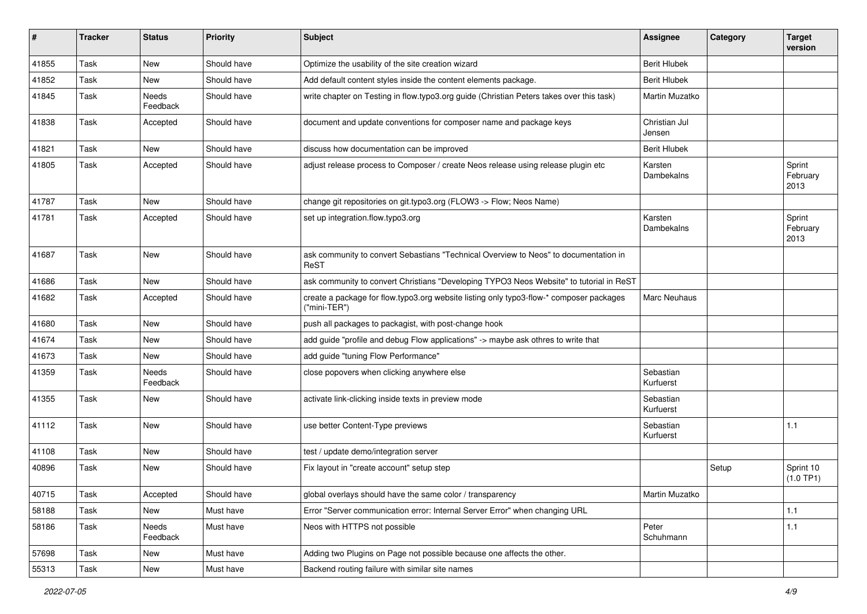| ∦     | <b>Tracker</b> | <b>Status</b>     | <b>Priority</b> | <b>Subject</b>                                                                                          | <b>Assignee</b>         | Category | <b>Target</b><br>version   |
|-------|----------------|-------------------|-----------------|---------------------------------------------------------------------------------------------------------|-------------------------|----------|----------------------------|
| 41855 | Task           | <b>New</b>        | Should have     | Optimize the usability of the site creation wizard                                                      | <b>Berit Hlubek</b>     |          |                            |
| 41852 | Task           | New               | Should have     | Add default content styles inside the content elements package.                                         | <b>Berit Hlubek</b>     |          |                            |
| 41845 | Task           | Needs<br>Feedback | Should have     | write chapter on Testing in flow.typo3.org guide (Christian Peters takes over this task)                | Martin Muzatko          |          |                            |
| 41838 | Task           | Accepted          | Should have     | document and update conventions for composer name and package keys                                      | Christian Jul<br>Jensen |          |                            |
| 41821 | Task           | <b>New</b>        | Should have     | discuss how documentation can be improved                                                               | <b>Berit Hlubek</b>     |          |                            |
| 41805 | Task           | Accepted          | Should have     | adjust release process to Composer / create Neos release using release plugin etc                       | Karsten<br>Dambekalns   |          | Sprint<br>February<br>2013 |
| 41787 | Task           | <b>New</b>        | Should have     | change git repositories on git.typo3.org (FLOW3 -> Flow; Neos Name)                                     |                         |          |                            |
| 41781 | Task           | Accepted          | Should have     | set up integration.flow.typo3.org                                                                       | Karsten<br>Dambekalns   |          | Sprint<br>February<br>2013 |
| 41687 | Task           | New               | Should have     | ask community to convert Sebastians "Technical Overview to Neos" to documentation in<br>ReST            |                         |          |                            |
| 41686 | Task           | New               | Should have     | ask community to convert Christians "Developing TYPO3 Neos Website" to tutorial in ReST                 |                         |          |                            |
| 41682 | Task           | Accepted          | Should have     | create a package for flow typo3.org website listing only typo3-flow-* composer packages<br>("mini-TER") | Marc Neuhaus            |          |                            |
| 41680 | Task           | <b>New</b>        | Should have     | push all packages to packagist, with post-change hook                                                   |                         |          |                            |
| 41674 | Task           | New               | Should have     | add guide "profile and debug Flow applications" -> maybe ask othres to write that                       |                         |          |                            |
| 41673 | Task           | New               | Should have     | add guide "tuning Flow Performance"                                                                     |                         |          |                            |
| 41359 | Task           | Needs<br>Feedback | Should have     | close popovers when clicking anywhere else                                                              | Sebastian<br>Kurfuerst  |          |                            |
| 41355 | Task           | New               | Should have     | activate link-clicking inside texts in preview mode                                                     | Sebastian<br>Kurfuerst  |          |                            |
| 41112 | Task           | <b>New</b>        | Should have     | use better Content-Type previews                                                                        | Sebastian<br>Kurfuerst  |          | 1.1                        |
| 41108 | Task           | <b>New</b>        | Should have     | test / update demo/integration server                                                                   |                         |          |                            |
| 40896 | Task           | New               | Should have     | Fix layout in "create account" setup step                                                               |                         | Setup    | Sprint 10<br>(1.0 TP1)     |
| 40715 | Task           | Accepted          | Should have     | global overlays should have the same color / transparency                                               | Martin Muzatko          |          |                            |
| 58188 | Task           | New               | Must have       | Error "Server communication error: Internal Server Error" when changing URL                             |                         |          | 1.1                        |
| 58186 | Task           | Needs<br>Feedback | Must have       | Neos with HTTPS not possible                                                                            | Peter<br>Schuhmann      |          | $1.1$                      |
| 57698 | Task           | New               | Must have       | Adding two Plugins on Page not possible because one affects the other.                                  |                         |          |                            |
| 55313 | Task           | New               | Must have       | Backend routing failure with similar site names                                                         |                         |          |                            |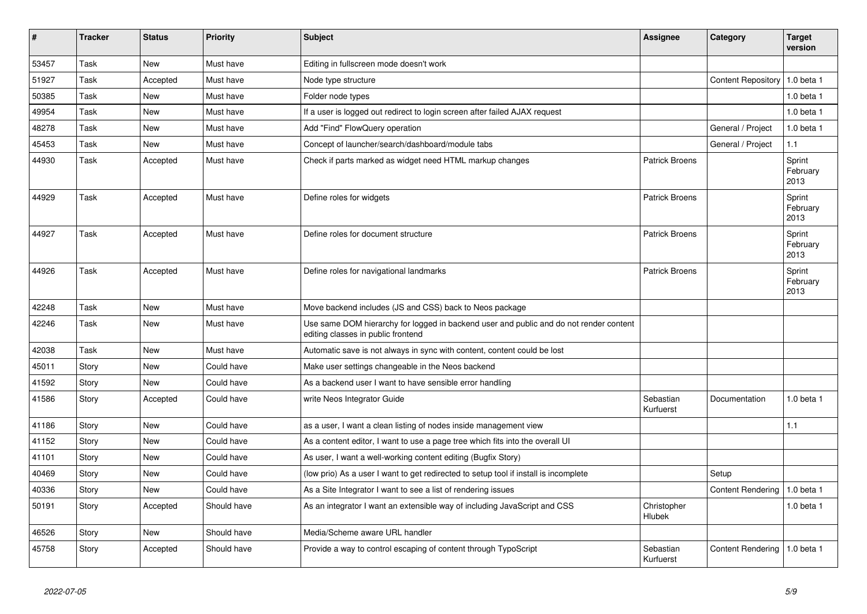| #     | <b>Tracker</b> | <b>Status</b> | <b>Priority</b> | <b>Subject</b>                                                                                                               | <b>Assignee</b>        | Category                  | <b>Target</b><br>version   |
|-------|----------------|---------------|-----------------|------------------------------------------------------------------------------------------------------------------------------|------------------------|---------------------------|----------------------------|
| 53457 | Task           | <b>New</b>    | Must have       | Editing in fullscreen mode doesn't work                                                                                      |                        |                           |                            |
| 51927 | Task           | Accepted      | Must have       | Node type structure                                                                                                          |                        | <b>Content Repository</b> | 1.0 beta 1                 |
| 50385 | Task           | <b>New</b>    | Must have       | Folder node types                                                                                                            |                        |                           | $1.0$ beta $1$             |
| 49954 | Task           | <b>New</b>    | Must have       | If a user is logged out redirect to login screen after failed AJAX request                                                   |                        |                           | $1.0$ beta $1$             |
| 48278 | Task           | <b>New</b>    | Must have       | Add "Find" FlowQuery operation                                                                                               |                        | General / Project         | $1.0$ beta $1$             |
| 45453 | Task           | New           | Must have       | Concept of launcher/search/dashboard/module tabs                                                                             |                        | General / Project         | 1.1                        |
| 44930 | Task           | Accepted      | Must have       | Check if parts marked as widget need HTML markup changes                                                                     | <b>Patrick Broens</b>  |                           | Sprint<br>February<br>2013 |
| 44929 | Task           | Accepted      | Must have       | Define roles for widgets                                                                                                     | <b>Patrick Broens</b>  |                           | Sprint<br>February<br>2013 |
| 44927 | Task           | Accepted      | Must have       | Define roles for document structure                                                                                          | <b>Patrick Broens</b>  |                           | Sprint<br>February<br>2013 |
| 44926 | Task           | Accepted      | Must have       | Define roles for navigational landmarks                                                                                      | <b>Patrick Broens</b>  |                           | Sprint<br>February<br>2013 |
| 42248 | Task           | <b>New</b>    | Must have       | Move backend includes (JS and CSS) back to Neos package                                                                      |                        |                           |                            |
| 42246 | Task           | <b>New</b>    | Must have       | Use same DOM hierarchy for logged in backend user and public and do not render content<br>editing classes in public frontend |                        |                           |                            |
| 42038 | Task           | <b>New</b>    | Must have       | Automatic save is not always in sync with content, content could be lost                                                     |                        |                           |                            |
| 45011 | Story          | New           | Could have      | Make user settings changeable in the Neos backend                                                                            |                        |                           |                            |
| 41592 | Story          | New           | Could have      | As a backend user I want to have sensible error handling                                                                     |                        |                           |                            |
| 41586 | Story          | Accepted      | Could have      | write Neos Integrator Guide                                                                                                  | Sebastian<br>Kurfuerst | Documentation             | 1.0 beta 1                 |
| 41186 | Story          | <b>New</b>    | Could have      | as a user, I want a clean listing of nodes inside management view                                                            |                        |                           | 1.1                        |
| 41152 | Story          | <b>New</b>    | Could have      | As a content editor, I want to use a page tree which fits into the overall UI                                                |                        |                           |                            |
| 41101 | Story          | <b>New</b>    | Could have      | As user, I want a well-working content editing (Bugfix Story)                                                                |                        |                           |                            |
| 40469 | Story          | <b>New</b>    | Could have      | (low prio) As a user I want to get redirected to setup tool if install is incomplete                                         |                        | Setup                     |                            |
| 40336 | Story          | <b>New</b>    | Could have      | As a Site Integrator I want to see a list of rendering issues                                                                |                        | <b>Content Rendering</b>  | 1.0 beta 1                 |
| 50191 | Story          | Accepted      | Should have     | As an integrator I want an extensible way of including JavaScript and CSS                                                    | Christopher<br>Hlubek  |                           | 1.0 beta 1                 |
| 46526 | Story          | <b>New</b>    | Should have     | Media/Scheme aware URL handler                                                                                               |                        |                           |                            |
| 45758 | Story          | Accepted      | Should have     | Provide a way to control escaping of content through TypoScript                                                              | Sebastian<br>Kurfuerst | <b>Content Rendering</b>  | 1.0 beta 1                 |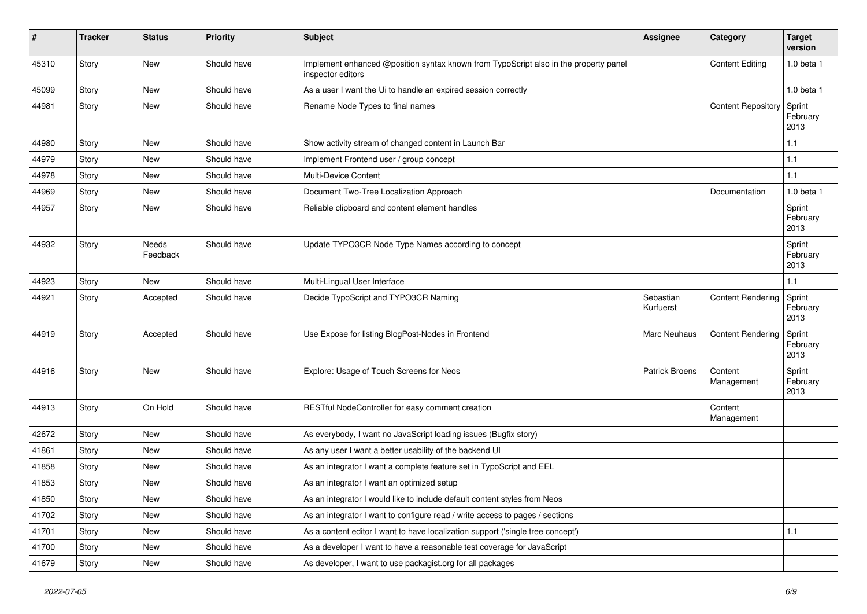| $\sharp$ | <b>Tracker</b> | <b>Status</b>            | <b>Priority</b> | <b>Subject</b>                                                                                            | <b>Assignee</b>        | Category                  | <b>Target</b><br>version   |
|----------|----------------|--------------------------|-----------------|-----------------------------------------------------------------------------------------------------------|------------------------|---------------------------|----------------------------|
| 45310    | Story          | New                      | Should have     | Implement enhanced @position syntax known from TypoScript also in the property panel<br>inspector editors |                        | <b>Content Editing</b>    | 1.0 beta 1                 |
| 45099    | Story          | <b>New</b>               | Should have     | As a user I want the Ui to handle an expired session correctly                                            |                        |                           | 1.0 beta 1                 |
| 44981    | Story          | New                      | Should have     | Rename Node Types to final names                                                                          |                        | <b>Content Repository</b> | Sprint<br>February<br>2013 |
| 44980    | Story          | New                      | Should have     | Show activity stream of changed content in Launch Bar                                                     |                        |                           | 1.1                        |
| 44979    | Story          | <b>New</b>               | Should have     | Implement Frontend user / group concept                                                                   |                        |                           | 1.1                        |
| 44978    | Story          | <b>New</b>               | Should have     | Multi-Device Content                                                                                      |                        |                           | 1.1                        |
| 44969    | Story          | New                      | Should have     | Document Two-Tree Localization Approach                                                                   |                        | Documentation             | $1.0$ beta $1$             |
| 44957    | Story          | New                      | Should have     | Reliable clipboard and content element handles                                                            |                        |                           | Sprint<br>February<br>2013 |
| 44932    | Story          | <b>Needs</b><br>Feedback | Should have     | Update TYPO3CR Node Type Names according to concept                                                       |                        |                           | Sprint<br>February<br>2013 |
| 44923    | Story          | <b>New</b>               | Should have     | Multi-Lingual User Interface                                                                              |                        |                           | 1.1                        |
| 44921    | Story          | Accepted                 | Should have     | Decide TypoScript and TYPO3CR Naming                                                                      | Sebastian<br>Kurfuerst | <b>Content Rendering</b>  | Sprint<br>February<br>2013 |
| 44919    | Story          | Accepted                 | Should have     | Use Expose for listing BlogPost-Nodes in Frontend                                                         | <b>Marc Neuhaus</b>    | <b>Content Rendering</b>  | Sprint<br>February<br>2013 |
| 44916    | Story          | New                      | Should have     | Explore: Usage of Touch Screens for Neos                                                                  | <b>Patrick Broens</b>  | Content<br>Management     | Sprint<br>February<br>2013 |
| 44913    | Story          | On Hold                  | Should have     | RESTful NodeController for easy comment creation                                                          |                        | Content<br>Management     |                            |
| 42672    | Story          | <b>New</b>               | Should have     | As everybody, I want no JavaScript loading issues (Bugfix story)                                          |                        |                           |                            |
| 41861    | Story          | New                      | Should have     | As any user I want a better usability of the backend UI                                                   |                        |                           |                            |
| 41858    | Story          | <b>New</b>               | Should have     | As an integrator I want a complete feature set in TypoScript and EEL                                      |                        |                           |                            |
| 41853    | Story          | New                      | Should have     | As an integrator I want an optimized setup                                                                |                        |                           |                            |
| 41850    | Story          | New                      | Should have     | As an integrator I would like to include default content styles from Neos                                 |                        |                           |                            |
| 41702    | Story          | New                      | Should have     | As an integrator I want to configure read / write access to pages / sections                              |                        |                           |                            |
| 41701    | Story          | New                      | Should have     | As a content editor I want to have localization support ('single tree concept')                           |                        |                           | 1.1                        |
| 41700    | Story          | New                      | Should have     | As a developer I want to have a reasonable test coverage for JavaScript                                   |                        |                           |                            |
| 41679    | Story          | New                      | Should have     | As developer, I want to use packagist.org for all packages                                                |                        |                           |                            |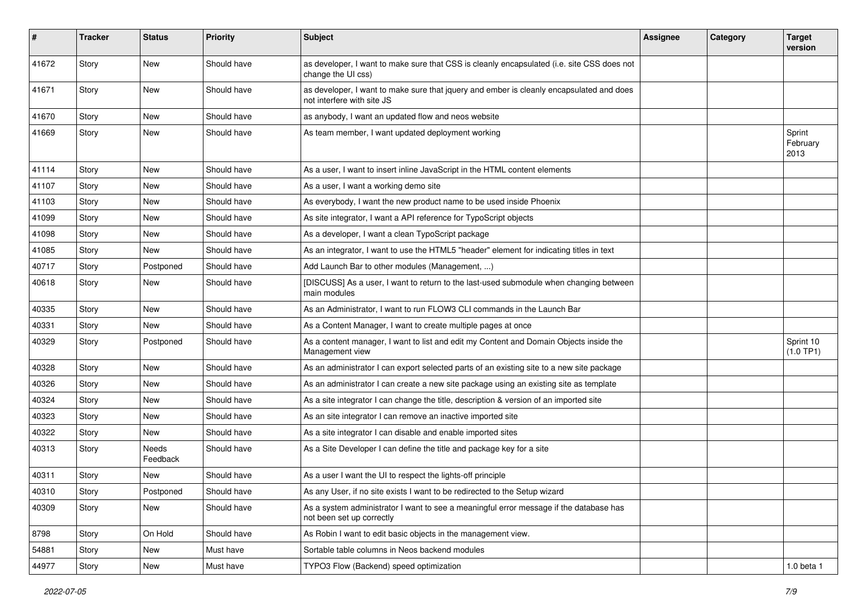| #     | <b>Tracker</b> | <b>Status</b>     | <b>Priority</b> | <b>Subject</b>                                                                                                         | Assignee | Category | <b>Target</b><br>version   |
|-------|----------------|-------------------|-----------------|------------------------------------------------------------------------------------------------------------------------|----------|----------|----------------------------|
| 41672 | Story          | <b>New</b>        | Should have     | as developer, I want to make sure that CSS is cleanly encapsulated (i.e. site CSS does not<br>change the UI css)       |          |          |                            |
| 41671 | Story          | New               | Should have     | as developer, I want to make sure that jquery and ember is cleanly encapsulated and does<br>not interfere with site JS |          |          |                            |
| 41670 | Story          | New               | Should have     | as anybody, I want an updated flow and neos website                                                                    |          |          |                            |
| 41669 | Story          | New               | Should have     | As team member, I want updated deployment working                                                                      |          |          | Sprint<br>February<br>2013 |
| 41114 | Story          | <b>New</b>        | Should have     | As a user, I want to insert inline JavaScript in the HTML content elements                                             |          |          |                            |
| 41107 | Story          | New               | Should have     | As a user, I want a working demo site                                                                                  |          |          |                            |
| 41103 | Story          | New               | Should have     | As everybody, I want the new product name to be used inside Phoenix                                                    |          |          |                            |
| 41099 | Story          | <b>New</b>        | Should have     | As site integrator, I want a API reference for TypoScript objects                                                      |          |          |                            |
| 41098 | Story          | New               | Should have     | As a developer, I want a clean TypoScript package                                                                      |          |          |                            |
| 41085 | Story          | <b>New</b>        | Should have     | As an integrator, I want to use the HTML5 "header" element for indicating titles in text                               |          |          |                            |
| 40717 | Story          | Postponed         | Should have     | Add Launch Bar to other modules (Management, )                                                                         |          |          |                            |
| 40618 | Story          | New               | Should have     | [DISCUSS] As a user, I want to return to the last-used submodule when changing between<br>main modules                 |          |          |                            |
| 40335 | Story          | <b>New</b>        | Should have     | As an Administrator, I want to run FLOW3 CLI commands in the Launch Bar                                                |          |          |                            |
| 40331 | Story          | New               | Should have     | As a Content Manager, I want to create multiple pages at once                                                          |          |          |                            |
| 40329 | Story          | Postponed         | Should have     | As a content manager, I want to list and edit my Content and Domain Objects inside the<br>Management view              |          |          | Sprint 10<br>(1.0 TP1)     |
| 40328 | Story          | <b>New</b>        | Should have     | As an administrator I can export selected parts of an existing site to a new site package                              |          |          |                            |
| 40326 | Story          | New               | Should have     | As an administrator I can create a new site package using an existing site as template                                 |          |          |                            |
| 40324 | Story          | <b>New</b>        | Should have     | As a site integrator I can change the title, description & version of an imported site                                 |          |          |                            |
| 40323 | Story          | <b>New</b>        | Should have     | As an site integrator I can remove an inactive imported site                                                           |          |          |                            |
| 40322 | Story          | New               | Should have     | As a site integrator I can disable and enable imported sites                                                           |          |          |                            |
| 40313 | Story          | Needs<br>Feedback | Should have     | As a Site Developer I can define the title and package key for a site                                                  |          |          |                            |
| 40311 | Story          | New               | Should have     | As a user I want the UI to respect the lights-off principle                                                            |          |          |                            |
| 40310 | Story          | Postponed         | Should have     | As any User, if no site exists I want to be redirected to the Setup wizard                                             |          |          |                            |
| 40309 | Story          | New               | Should have     | As a system administrator I want to see a meaningful error message if the database has<br>not been set up correctly    |          |          |                            |
| 8798  | Story          | On Hold           | Should have     | As Robin I want to edit basic objects in the management view.                                                          |          |          |                            |
| 54881 | Story          | New               | Must have       | Sortable table columns in Neos backend modules                                                                         |          |          |                            |
| 44977 | Story          | New               | Must have       | TYPO3 Flow (Backend) speed optimization                                                                                |          |          | 1.0 beta 1                 |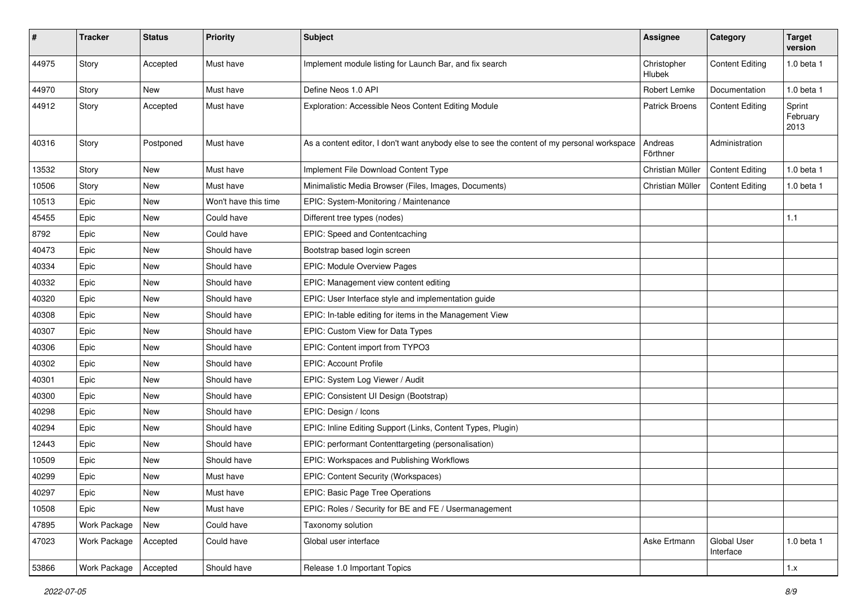| #     | <b>Tracker</b> | <b>Status</b> | <b>Priority</b>      | <b>Subject</b>                                                                             | <b>Assignee</b>       | Category                 | <b>Target</b><br>version   |
|-------|----------------|---------------|----------------------|--------------------------------------------------------------------------------------------|-----------------------|--------------------------|----------------------------|
| 44975 | Story          | Accepted      | Must have            | Implement module listing for Launch Bar, and fix search                                    | Christopher<br>Hlubek | <b>Content Editing</b>   | 1.0 beta 1                 |
| 44970 | Story          | New           | Must have            | Define Neos 1.0 API                                                                        | Robert Lemke          | Documentation            | 1.0 beta 1                 |
| 44912 | Story          | Accepted      | Must have            | Exploration: Accessible Neos Content Editing Module                                        | Patrick Broens        | <b>Content Editing</b>   | Sprint<br>February<br>2013 |
| 40316 | Story          | Postponed     | Must have            | As a content editor, I don't want anybody else to see the content of my personal workspace | Andreas<br>Förthner   | Administration           |                            |
| 13532 | Story          | <b>New</b>    | Must have            | Implement File Download Content Type                                                       | Christian Müller      | <b>Content Editing</b>   | 1.0 beta 1                 |
| 10506 | Story          | New           | Must have            | Minimalistic Media Browser (Files, Images, Documents)                                      | Christian Müller      | <b>Content Editing</b>   | 1.0 beta 1                 |
| 10513 | Epic           | New           | Won't have this time | EPIC: System-Monitoring / Maintenance                                                      |                       |                          |                            |
| 45455 | Epic           | New           | Could have           | Different tree types (nodes)                                                               |                       |                          | 1.1                        |
| 8792  | Epic           | <b>New</b>    | Could have           | EPIC: Speed and Contentcaching                                                             |                       |                          |                            |
| 40473 | Epic           | <b>New</b>    | Should have          | Bootstrap based login screen                                                               |                       |                          |                            |
| 40334 | Epic           | New           | Should have          | EPIC: Module Overview Pages                                                                |                       |                          |                            |
| 40332 | Epic           | New           | Should have          | EPIC: Management view content editing                                                      |                       |                          |                            |
| 40320 | Epic           | New           | Should have          | EPIC: User Interface style and implementation guide                                        |                       |                          |                            |
| 40308 | Epic           | <b>New</b>    | Should have          | EPIC: In-table editing for items in the Management View                                    |                       |                          |                            |
| 40307 | Epic           | New           | Should have          | EPIC: Custom View for Data Types                                                           |                       |                          |                            |
| 40306 | Epic           | New           | Should have          | EPIC: Content import from TYPO3                                                            |                       |                          |                            |
| 40302 | Epic           | New           | Should have          | <b>EPIC: Account Profile</b>                                                               |                       |                          |                            |
| 40301 | Epic           | New           | Should have          | EPIC: System Log Viewer / Audit                                                            |                       |                          |                            |
| 40300 | Epic           | New           | Should have          | EPIC: Consistent UI Design (Bootstrap)                                                     |                       |                          |                            |
| 40298 | Epic           | New           | Should have          | EPIC: Design / Icons                                                                       |                       |                          |                            |
| 40294 | Epic           | New           | Should have          | EPIC: Inline Editing Support (Links, Content Types, Plugin)                                |                       |                          |                            |
| 12443 | Epic           | New           | Should have          | EPIC: performant Contenttargeting (personalisation)                                        |                       |                          |                            |
| 10509 | Epic           | <b>New</b>    | Should have          | EPIC: Workspaces and Publishing Workflows                                                  |                       |                          |                            |
| 40299 | Epic           | New           | Must have            | EPIC: Content Security (Workspaces)                                                        |                       |                          |                            |
| 40297 | Epic           | New           | Must have            | EPIC: Basic Page Tree Operations                                                           |                       |                          |                            |
| 10508 | Epic           | New           | Must have            | EPIC: Roles / Security for BE and FE / Usermanagement                                      |                       |                          |                            |
| 47895 | Work Package   | New           | Could have           | Taxonomy solution                                                                          |                       |                          |                            |
| 47023 | Work Package   | Accepted      | Could have           | Global user interface                                                                      | Aske Ertmann          | Global User<br>Interface | 1.0 beta 1                 |
| 53866 | Work Package   | Accepted      | Should have          | Release 1.0 Important Topics                                                               |                       |                          | 1.x                        |